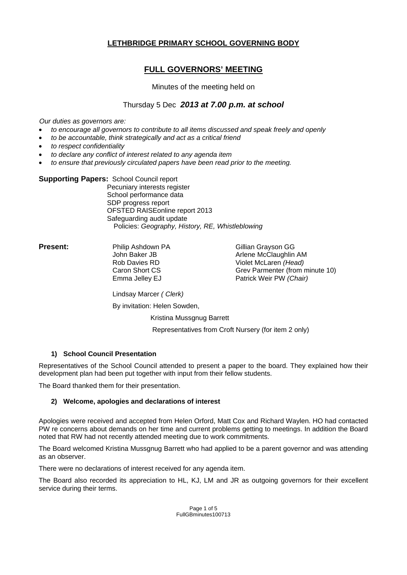## **LETHBRIDGE PRIMARY SCHOOL GOVERNING BODY**

# **FULL GOVERNORS' MEETING**

### Minutes of the meeting held on

## Thursday 5 Dec *2013 at 7.00 p.m. at school*

*Our duties as governors are:* 

- *to encourage all governors to contribute to all items discussed and speak freely and openly*
- *to be accountable, think strategically and act as a critical friend*
- *to respect confidentiality*
- *to declare any conflict of interest related to any agenda item*
- *to ensure that previously circulated papers have been read prior to the meeting.*

### **Supporting Papers:** School Council report

 Pecuniary interests register School performance data SDP progress report OFSTED RAISEonline report 2013 Safeguarding audit update Policies: *Geography, History, RE, Whistleblowing* 

**Present:** Philip Ashdown PA **Cillian Grayson GG** John Baker JB Arlene McClaughlin AM Rob Davies RD Violet McLaren *(Head)* Caron Short CS Grev Parmenter (from minute 10) Emma Jelley EJ **Patrick Weir PW** (Chair)

Lindsay Marcer *( Clerk)*

By invitation: Helen Sowden,

Kristina Mussgnug Barrett

Representatives from Croft Nursery (for item 2 only)

## **1) School Council Presentation**

Representatives of the School Council attended to present a paper to the board. They explained how their development plan had been put together with input from their fellow students.

The Board thanked them for their presentation.

## **2) Welcome, apologies and declarations of interest**

Apologies were received and accepted from Helen Orford, Matt Cox and Richard Waylen. HO had contacted PW re concerns about demands on her time and current problems getting to meetings. In addition the Board noted that RW had not recently attended meeting due to work commitments.

The Board welcomed Kristina Mussgnug Barrett who had applied to be a parent governor and was attending as an observer.

There were no declarations of interest received for any agenda item.

The Board also recorded its appreciation to HL, KJ, LM and JR as outgoing governors for their excellent service during their terms.

> Page 1 of 5 FullGBminutes100713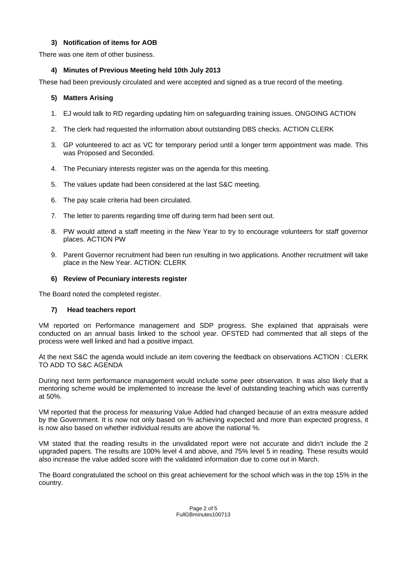## **3) Notification of items for AOB**

There was one item of other business.

## **4) Minutes of Previous Meeting held 10th July 2013**

These had been previously circulated and were accepted and signed as a true record of the meeting.

## **5) Matters Arising**

- 1. EJ would talk to RD regarding updating him on safeguarding training issues. ONGOING ACTION
- 2. The clerk had requested the information about outstanding DBS checks. ACTION CLERK
- 3. GP volunteered to act as VC for temporary period until a longer term appointment was made. This was Proposed and Seconded.
- 4. The Pecuniary interests register was on the agenda for this meeting.
- 5. The values update had been considered at the last S&C meeting.
- 6. The pay scale criteria had been circulated.
- 7. The letter to parents regarding time off during term had been sent out.
- 8. PW would attend a staff meeting in the New Year to try to encourage volunteers for staff governor places. ACTION PW
- 9. Parent Governor recruitment had been run resulting in two applications. Another recruitment will take place in the New Year. ACTION: CLERK

### **6) Review of Pecuniary interests register**

The Board noted the completed register.

#### **7) Head teachers report**

VM reported on Performance management and SDP progress. She explained that appraisals were conducted on an annual basis linked to the school year. OFSTED had commented that all steps of the process were well linked and had a positive impact.

At the next S&C the agenda would include an item covering the feedback on observations ACTION : CLERK TO ADD TO S&C AGENDA

During next term performance management would include some peer observation. It was also likely that a mentoring scheme would be implemented to increase the level of outstanding teaching which was currently at 50%.

VM reported that the process for measuring Value Added had changed because of an extra measure added by the Government. It is now not only based on % achieving expected and more than expected progress, it is now also based on whether individual results are above the national %.

VM stated that the reading results in the unvalidated report were not accurate and didn't include the 2 upgraded papers. The results are 100% level 4 and above, and 75% level 5 in reading. These results would also increase the value added score with the validated information due to come out in March.

The Board congratulated the school on this great achievement for the school which was in the top 15% in the country.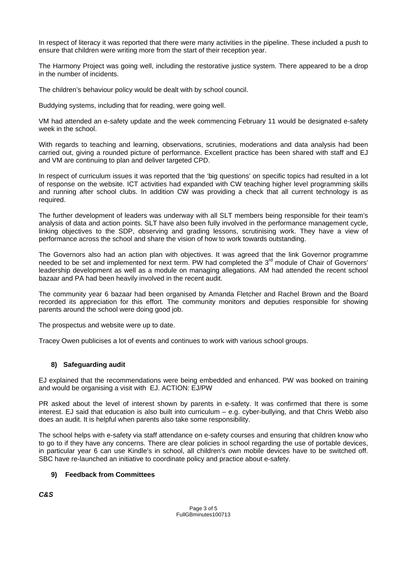In respect of literacy it was reported that there were many activities in the pipeline. These included a push to ensure that children were writing more from the start of their reception year.

The Harmony Project was going well, including the restorative justice system. There appeared to be a drop in the number of incidents.

The children's behaviour policy would be dealt with by school council.

Buddying systems, including that for reading, were going well.

VM had attended an e-safety update and the week commencing February 11 would be designated e-safety week in the school.

With regards to teaching and learning, observations, scrutinies, moderations and data analysis had been carried out, giving a rounded picture of performance. Excellent practice has been shared with staff and EJ and VM are continuing to plan and deliver targeted CPD.

In respect of curriculum issues it was reported that the 'big questions' on specific topics had resulted in a lot of response on the website. ICT activities had expanded with CW teaching higher level programming skills and running after school clubs. In addition CW was providing a check that all current technology is as required.

The further development of leaders was underway with all SLT members being responsible for their team's analysis of data and action points. SLT have also been fully involved in the performance management cycle, linking objectives to the SDP, observing and grading lessons, scrutinising work. They have a view of performance across the school and share the vision of how to work towards outstanding.

The Governors also had an action plan with objectives. It was agreed that the link Governor programme needed to be set and implemented for next term. PW had completed the 3<sup>rd</sup> module of Chair of Governors' leadership development as well as a module on managing allegations. AM had attended the recent school bazaar and PA had been heavily involved in the recent audit.

The community year 6 bazaar had been organised by Amanda Fletcher and Rachel Brown and the Board recorded its appreciation for this effort. The community monitors and deputies responsible for showing parents around the school were doing good job.

The prospectus and website were up to date.

Tracey Owen publicises a lot of events and continues to work with various school groups.

## **8) Safeguarding audit**

EJ explained that the recommendations were being embedded and enhanced. PW was booked on training and would be organising a visit with EJ. ACTION: EJ/PW

PR asked about the level of interest shown by parents in e-safety. It was confirmed that there is some interest. EJ said that education is also built into curriculum – e.g. cyber-bullying, and that Chris Webb also does an audit. It is helpful when parents also take some responsibility.

The school helps with e-safety via staff attendance on e-safety courses and ensuring that children know who to go to if they have any concerns. There are clear policies in school regarding the use of portable devices, in particular year 6 can use Kindle's in school, all children's own mobile devices have to be switched off. SBC have re-launched an initiative to coordinate policy and practice about e-safety.

## **9) Feedback from Committees**

*C&S*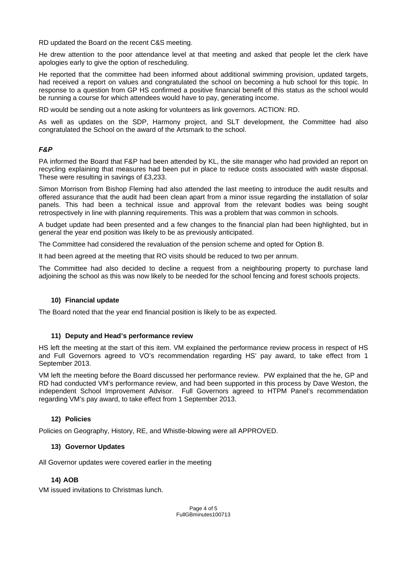RD updated the Board on the recent C&S meeting.

He drew attention to the poor attendance level at that meeting and asked that people let the clerk have apologies early to give the option of rescheduling.

He reported that the committee had been informed about additional swimming provision, updated targets, had received a report on values and congratulated the school on becoming a hub school for this topic. In response to a question from GP HS confirmed a positive financial benefit of this status as the school would be running a course for which attendees would have to pay, generating income.

RD would be sending out a note asking for volunteers as link governors. ACTION: RD.

As well as updates on the SDP, Harmony project, and SLT development, the Committee had also congratulated the School on the award of the Artsmark to the school.

### *F&P*

PA informed the Board that F&P had been attended by KL, the site manager who had provided an report on recycling explaining that measures had been put in place to reduce costs associated with waste disposal. These were resulting in savings of £3,233.

Simon Morrison from Bishop Fleming had also attended the last meeting to introduce the audit results and offered assurance that the audit had been clean apart from a minor issue regarding the installation of solar panels. This had been a technical issue and approval from the relevant bodies was being sought retrospectively in line with planning requirements. This was a problem that was common in schools.

A budget update had been presented and a few changes to the financial plan had been highlighted, but in general the year end position was likely to be as previously anticipated.

The Committee had considered the revaluation of the pension scheme and opted for Option B.

It had been agreed at the meeting that RO visits should be reduced to two per annum.

The Committee had also decided to decline a request from a neighbouring property to purchase land adjoining the school as this was now likely to be needed for the school fencing and forest schools projects.

#### **10) Financial update**

The Board noted that the year end financial position is likely to be as expected.

#### **11) Deputy and Head's performance review**

HS left the meeting at the start of this item. VM explained the performance review process in respect of HS and Full Governors agreed to VO's recommendation regarding HS' pay award, to take effect from 1 September 2013.

VM left the meeting before the Board discussed her performance review. PW explained that the he, GP and RD had conducted VM's performance review, and had been supported in this process by Dave Weston, the independent School Improvement Advisor. Full Governors agreed to HTPM Panel's recommendation regarding VM's pay award, to take effect from 1 September 2013.

#### **12) Policies**

Policies on Geography, History, RE, and Whistle-blowing were all APPROVED.

#### **13) Governor Updates**

All Governor updates were covered earlier in the meeting

#### **14) AOB**

VM issued invitations to Christmas lunch.

Page 4 of 5 FullGBminutes100713